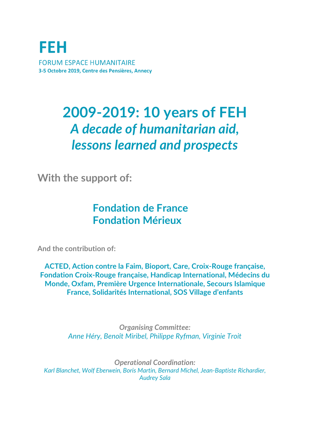**FEH FORUM ESPACE HUMANITAIRE** 3-5 Octobre 2019, Centre des Pensières, Annecy

# **2009-2019: 10 years of FEH** *A decade of humanitarian aid, lessons learned and prospects*

**With the support of:**

## **Fondation de France Fondation Mérieux**

**And the contribution of:** 

**ACTED, Action contre la Faim, Bioport, Care, Croix-Rouge française, Fondation Croix-Rouge française, Handicap International, Médecins du Monde, Oxfam, Première Urgence Internationale, Secours Islamique France, Solidarités International, SOS Village d'enfants**

> *Organising Committee: Anne Héry, Benoît Miribel, Philippe Ryfman, Virginie Troit*

*Operational Coordination: Karl Blanchet, Wolf Eberwein, Boris Martin, Bernard Michel, Jean-Baptiste Richardier, Audrey Sala*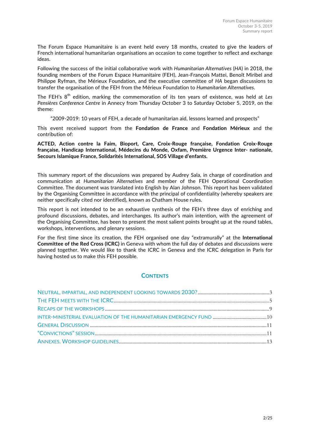The Forum Espace Humanitaire is an event held every 18 months, created to give the leaders of French international humanitarian organisations an occasion to come together to reflect and exchange ideas.

Following the success of the initial collaborative work with *Humanitarian Alternatives* (*HA*) in 2018, the founding members of the Forum Espace Humanitaire (FEH), Jean-François Mattei, Benoît Miribel and Philippe Ryfman, the Mérieux Foundation, and the executive committee of *HA* began discussions to transfer the organisation of the FEH from the Mérieux Foundation to *Humanitarian Alternatives*.

The FEH's 8<sup>th</sup> edition, marking the commemoration of its ten years of existence, was held at Les *Pensières Conference Centre* in Annecy from Thursday October 3 to Saturday October 5, 2019, on the theme:

"2009-2019: 10 years of FEH, a decade of humanitarian aid, lessons learned and prospects"

This event received support from the **Fondation de France** and **Fondation Mérieux** and the contribution of:

**ACTED, Action contre la Faim, Bioport, Care, Croix-Rouge française, Fondation Croix-Rouge française, Handicap International, Médecins du Monde, Oxfam, Première Urgence Inter- nationale, Secours Islamique France, Solidarités International, SOS Village d'enfants.**

This summary report of the discussions was prepared by Audrey Sala, in charge of coordination and communication at *Humanitarian Alternatives* and member of the FEH Operational Coordination Committee. The document was translated into English by Alan Johnson. This report has been validated by the Organising Committee in accordance with the principal of confidentiality (whereby speakers are neither specifically cited nor identified), known as Chatham House rules.

This report is not intended to be an exhaustive synthesis of the FEH's three days of enriching and profound discussions, debates, and interchanges. Its author's main intention, with the agreement of the Organising Committee, has been to present the most salient points brought up at the round tables, workshops, interventions, and plenary sessions.

For the first time since its creation, the FEH organised one day "extramurally" at the **International Committee of the Red Cross (ICRC)** in Geneva with whom the full day of debates and discussions were planned together. We would like to thank the ICRC in Geneva and the ICRC delegation in Paris for having hosted us to make this FEH possible.

#### **CONTENTS**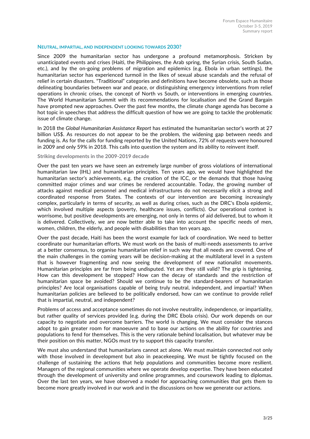#### **NEUTRAL, IMPARTIAL, AND INDEPENDENT LOOKING TOWARDS 2030?**

Since 2009 the humanitarian sector has undergone a profound metamorphosis. Stricken by unanticipated events and crises (Haiti, the Philippines, the Arab spring, the Syrian crisis, South Sudan, etc.), and by the on-going problems of migration and epidemics (e.g. Ebola in urban settings), the humanitarian sector has experienced turmoil in the likes of sexual abuse scandals and the refusal of relief in certain disasters. "Traditional" categories and definitions have become obsolete, such as those delineating boundaries between war and peace, or distinguishing emergency interventions from relief operations in chronic crises, the concept of North vs South, or interventions in emerging countries. The World Humanitarian Summit with its recommendations for localisation and the Grand Bargain have prompted new approaches. Over the past few months, the climate change agenda has become a hot topic in speeches that address the difficult question of how we are going to tackle the problematic issue of climate change.

In 2018 the *Global Humanitarian Assistance Report* has estimated the humanitarian sector's worth at 27 billion US\$. As resources do not appear to be the problem, the widening gap between needs and funding is. As for the calls for funding reported by the United Nations, 72% of requests were honoured in 2009 and only 59% in 2018. This calls into question the system and its ability to reinvent itself.

#### **Striking developments in the 2009-2019 decade**

Over the past ten years we have seen an extremely large number of gross violations of international humanitarian law (IHL) and humanitarian principles. Ten years ago, we would have highlighted the humanitarian sector's achievements, e.g. the creation of the ICC, or the demands that those having committed major crimes and war crimes be rendered accountable. Today, the growing number of attacks against medical personnel and medical infrastructures do not necessarily elicit a strong and coordinated response from States. The contexts of our intervention are becoming increasingly complex, particularly in terms of security, as well as during crises, such as the DRC's Ebola epidemic, which involved multiple aspects (poverty, healthcare issues, conflicts). Our operational context is worrisome, but positive developments are emerging, not only in terms of aid delivered, but to whom it is delivered. Collectively, we are now better able to take into account the specific needs of men, women, children, the elderly, and people with disabilities than ten years ago.

Over the past decade, Haiti has been the worst example for lack of coordination. We need to better coordinate our humanitarian efforts. We must work on the basis of multi-needs assessments to arrive at a better consensus, to organise humanitarian relief in such way that all needs are covered. One of the main challenges in the coming years will be decision-making at the multilateral level in a system that is however fragmenting and now seeing the development of new nationalist movements. Humanitarian principles are far from being undisputed. Yet are they still valid? The grip is tightening. How can this development be stopped? How can the decay of standards and the restriction of humanitarian space be avoided? Should we continue to be the standard-bearers of humanitarian principles? Are local organisations capable of being truly neutral, independent, and impartial? When humanitarian policies are believed to be politically endorsed, how can we continue to provide relief that is impartial, neutral, and independent?

Problems of access and acceptance sometimes do not involve neutrality, independence, or impartiality, but rather quality of services provided (e.g. during the DRC Ebola crisis). Our work depends on our capacity to negotiate and overcome barriers. The world is changing. We must consider the stances adopt to gain greater room for manoeuvre and to base our actions on the ability for countries and populations to fend for themselves. This is the very rationale behind localisation, but whatever may be their position on this matter, NGOs must try to support this capacity transfer.

We must also understand that humanitarians cannot act alone. We must maintain connected not only with those involved in development but also in peacekeeping. We must be tightly focused on the challenge of sustaining the actions that help populations and communities become more resilient. Managers of the regional communities where we operate develop expertise. They have been educated through the development of university and online programmes, and coursework leading to diplomas. Over the last ten years, we have observed a model for approaching communities that gets them to become more greatly involved in our work and in the discussions on how we generate our actions.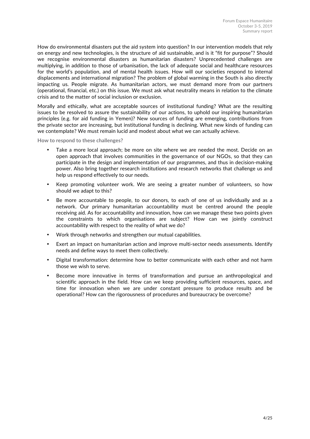How do environmental disasters put the aid system into question? In our intervention models that rely on energy and new technologies, is the structure of aid sustainable, and is it "fit for purpose"? Should we recognise environmental disasters as humanitarian disasters? Unprecedented challenges are multiplying, in addition to those of urbanisation, the lack of adequate social and healthcare resources for the world's population, and of mental health issues. How will our societies respond to internal displacements and international migration? The problem of global warming in the South is also directly impacting us. People migrate. As humanitarian actors, we must demand more from our partners (operational, financial, etc.) on this issue. We must ask what neutrality means in relation to the climate crisis and to the matter of social inclusion or exclusion.

Morally and ethically, what are acceptable sources of institutional funding? What are the resulting issues to be resolved to assure the sustainability of our actions, to uphold our inspiring humanitarian principles (e.g. for aid funding in Yemen)? New sources of funding are emerging, contributions from the private sector are increasing, but institutional funding is declining. What new kinds of funding can we contemplate? We must remain lucid and modest about what we can actually achieve.

**How to respond to these challenges?**

- Take a more local approach; be more on site where we are needed the most. Decide on an open approach that involves communities in the governance of our NGOs, so that they can participate in the design and implementation of our programmes, and thus in decision-making power. Also bring together research institutions and research networks that challenge us and help us respond effectively to our needs.
- Keep promoting volunteer work. We are seeing a greater number of volunteers, so how should we adapt to this?
- Be more accountable to people, to our donors, to each of one of us individually and as a network. Our primary humanitarian accountability must be centred around the people receiving aid. As for accountability and innovation, how can we manage these two points given the constraints to which organisations are subject? How can we jointly construct accountability with respect to the reality of what we do?
- Work through networks and strengthen our mutual capabilities.
- Exert an impact on humanitarian action and improve multi-sector needs assessments. Identify needs and define ways to meet them collectively.
- Digital transformation: determine how to better communicate with each other and not harm those we wish to serve.
- Become more innovative in terms of transformation and pursue an anthropological and scientific approach in the field. How can we keep providing sufficient resources, space, and time for innovation when we are under constant pressure to produce results and be operational? How can the rigorousness of procedures and bureaucracy be overcome?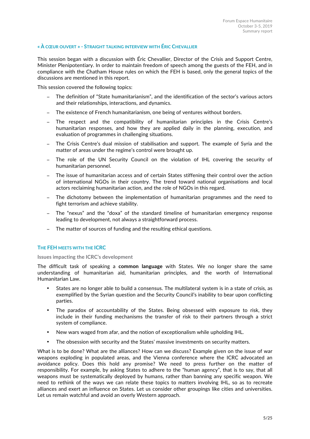#### **« À CŒUR OUVERT » - STRAIGHT TALKING INTERVIEW WITH ÉRIC CHEVALLIER**

This session began with a discussion with Éric Chevallier, Director of the Crisis and Support Centre, Minister Plenipotentiary. In order to maintain freedom of speech among the guests of the FEH, and in compliance with the Chatham House rules on which the FEH is based, only the general topics of the discussions are mentioned in this report.

This session covered the following topics:

- The definition of "State humanitarianism", and the identification of the sector's various actors and their relationships, interactions, and dynamics.
- − The existence of French humanitarianism, one being of ventures without borders.
- − The respect and the compatibility of humanitarian principles in the Crisis Centre's humanitarian responses, and how they are applied daily in the planning, execution, and evaluation of programmes in challenging situations.
- − The Crisis Centre's dual mission of stabilisation and support. The example of Syria and the matter of areas under the regime's control were brought up.
- − The role of the UN Security Council on the violation of IHL covering the security of humanitarian personnel.
- The issue of humanitarian access and of certain States stiffening their control over the action of international NGOs in their country. The trend toward national organisations and local actors reclaiming humanitarian action, and the role of NGOs in this regard.
- − The dichotomy between the implementation of humanitarian programmes and the need to fight terrorism and achieve stability.
- The "nexus" and the "doxa" of the standard timeline of humanitarian emergency response leading to development, not always a straightforward process.
- − The matter of sources of funding and the resulting ethical questions.

#### **THE FEH MEETS WITH THE ICRC**

#### **Issues impacting the ICRC's development**

The difficult task of speaking a **common language** with States. We no longer share the same understanding of humanitarian aid, humanitarian principles, and the worth of International Humanitarian Law.

- States are no longer able to build a consensus. The multilateral system is in a state of crisis, as exemplified by the Syrian question and the Security Council's inability to bear upon conflicting parties.
- The paradox of accountability of the States. Being obsessed with exposure to risk, they include in their funding mechanisms the transfer of risk to their partners through a strict system of compliance.
- New wars waged from afar, and the notion of exceptionalism while upholding IHL.
- The obsession with security and the States' massive investments on security matters.

What is to be done? What are the alliances? How can we discuss? Example given on the issue of war weapons exploding in populated areas, and the Vienna conference where the ICRC advocated an avoidance policy. Does this hold any promise? We need to press further on the matter of responsibility. For example, by asking States to adhere to the "human agency", that is to say, that all weapons must be systematically deployed by humans, rather than banning any specific weapon. We need to rethink of the ways we can relate these topics to matters involving IHL, so as to recreate alliances and exert an influence on States. Let us consider other groupings like cities and universities. Let us remain watchful and avoid an overly Western approach.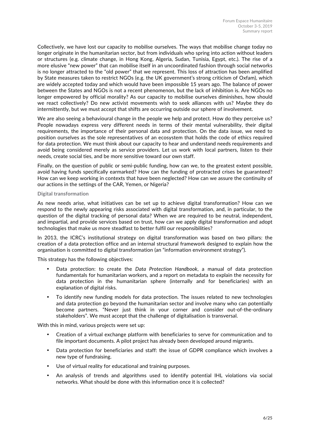Collectively, we have lost our capacity to mobilise ourselves. The ways that mobilise change today no longer originate in the humanitarian sector, but from individuals who spring into action without leaders or structures (e.g. climate change, in Hong Kong, Algeria, Sudan, Tunisia, Egypt, etc.). The rise of a more elusive "new power" that can mobilise itself in an uncoordinated fashion through social networks is no longer attracted to the "old power" that we represent. This loss of attraction has been amplified by State measures taken to restrict NGOs (e.g. the UK government's strong criticism of Oxfam), which are widely accepted today and which would have been impossible 15 years ago. The balance of power between the States and NGOs is not a recent phenomenon, but the lack of inhibition is. Are NGOs no longer empowered by official morality? As our capacity to mobilise ourselves diminishes, how should we react collectively? Do new activist movements wish to seek alliances with us? Maybe they do intermittently, but we must accept that shifts are occurring outside our sphere of involvement.

We are also seeing a behavioural change in the people we help and protect. How do they perceive us? People nowadays express very different needs in terms of their mental vulnerability, their digital requirements, the importance of their personal data and protection. On the data issue, we need to position ourselves as the sole representatives of an ecosystem that holds the code of ethics required for data protection. We must think about our capacity to hear and understand needs requirements and avoid being considered merely as service providers. Let us work with local partners, listen to their needs, create social ties, and be more sensitive toward our own staff.

Finally, on the question of public or semi-public funding, how can we, to the greatest extent possible, avoid having funds specifically earmarked? How can the funding of protracted crises be guaranteed? How can we keep working in contexts that have been neglected? How can we assure the continuity of our actions in the settings of the CAR, Yemen, or Nigeria?

#### **Digital transformation**

As new needs arise, what initiatives can be set up to achieve digital transformation? How can we respond to the newly appearing risks associated with digital transformation, and, in particular, to the question of the digital tracking of personal data? When we are required to be neutral, independent, and impartial, and provide services based on trust, how can we apply digital transformation and adopt technologies that make us more steadfast to better fulfil our responsibilities?

In 2013, the ICRC's institutional strategy on digital transformation was based on two pillars: the creation of a data protection office and an internal structural framework designed to explain how the organisation is committed to digital transformation (an "information environment strategy").

This strategy has the following objectives:

- Data protection: to create the *Data Protection Handbook*, a manual of data protection fundamentals for humanitarian workers, and a report on metadata to explain the necessity for data protection in the humanitarian sphere (internally and for beneficiaries) with an explanation of digital risks.
- To identify new funding models for data protection. The issues related to new technologies and data protection go beyond the humanitarian sector and involve many who can potentially become partners. "Never just think in your corner and consider out-of-the-ordinary stakeholders". We must accept that the challenge of digitalisation is transversal.

With this in mind, various projects were set up:

- Creation of a virtual exchange platform with beneficiaries to serve for communication and to file important documents. A pilot project has already been developed around migrants.
- Data protection for beneficiaries and staff: the issue of GDPR compliance which involves a new type of fundraising.
- Use of virtual reality for educational and training purposes.
- An analysis of trends and algorithms used to identify potential IHL violations via social networks. What should be done with this information once it is collected?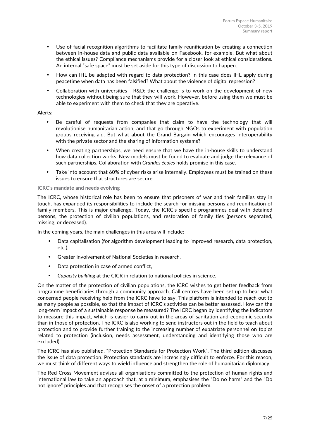- Use of facial recognition algorithms to facilitate family reunification by creating a connection between in-house data and public data available on Facebook, for example. But what about the ethical issues? Compliance mechanisms provide for a closer look at ethical considerations. An internal "safe space" must be set aside for this type of discussion to happen.
- How can IHL be adapted with regard to data protection? In this case does IHL apply during peacetime when data has been falsified? What about the violence of digital repression?
- Collaboration with universities R&D: the challenge is to work on the development of new technologies without being sure that they will work. However, before using them we must be able to experiment with them to check that they are operative.

#### **Alerts:**

- Be careful of requests from companies that claim to have the technology that will revolutionise humanitarian action, and that go through NGOs to experiment with population groups receiving aid. But what about the Grand Bargain which encourages interoperability with the private sector and the sharing of information systems?
- When creating partnerships, we need ensure that we have the in-house skills to understand how data collection works. New models must be found to evaluate and judge the relevance of such partnerships. Collaboration with *Grandes écoles* holds promise in this case.
- Take into account that 60% of cyber risks arise internally. Employees must be trained on these issues to ensure that structures are secure.

#### **ICRC's mandate and needs evolving**

The ICRC, whose historical role has been to ensure that prisoners of war and their families stay in touch, has expanded its responsibilities to include the search for missing persons and reunification of family members. This is major challenge. Today, the ICRC's specific programmes deal with detained persons, the protection of civilian populations, and restoration of family ties (persons separated, missing, or deceased).

In the coming years, the main challenges in this area will include:

- Data capitalisation (for algorithm development leading to improved research, data protection, etc.),
- Greater involvement of National Societies in research,
- Data protection in case of armed conflict,
- *Capacity building* at the CICR in relation to national policies in science.

On the matter of the protection of civilian populations, the ICRC wishes to get better feedback from programme beneficiaries through a community approach. Call centres have been set up to hear what concerned people receiving help from the ICRC have to say. This platform is intended to reach out to as many people as possible, so that the impact of ICRC's activities can be better assessed. How can the long-term impact of a sustainable response be measured? The ICRC began by identifying the indicators to measure this impact, which is easier to carry out in the areas of sanitation and economic security than in those of protection. The ICRC is also working to send instructors out in the field to teach about protection and to provide further training to the increasing number of expatriate personnel on topics related to protection (inclusion, needs assessment, understanding and identifying those who are excluded).

The ICRC has also published, "Protection Standards for Protection Work". The third edition discusses the issue of data protection. Protection standards are increasingly difficult to enforce. For this reason, we must think of different ways to wield influence and strengthen the role of humanitarian diplomacy.

The Red Cross Movement advises all organisations committed to the protection of human rights and international law to take an approach that, at a minimum, emphasises the "Do no harm" and the "Do not ignore" principles and that recognises the onset of a protection problem.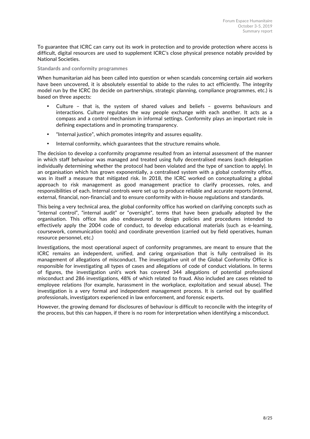To guarantee that ICRC can carry out its work in protection and to provide protection where access is difficult, digital resources are used to supplement ICRC's close physical presence notably provided by National Societies.

#### **Standards and conformity programmes**

When humanitarian aid has been called into question or when scandals concerning certain aid workers have been uncovered, it is absolutely essential to abide to the rules to act efficiently. The integrity model run by the ICRC (to decide on partnerships, strategic planning, compliance programmes, etc.) is based on three aspects:

- Culture that is, the system of shared values and beliefs governs behaviours and interactions. Culture regulates the way people exchange with each another. It acts as a compass and a control mechanism in informal settings. Conformity plays an important role in defining expectations and in promoting transparency.
- "Internal justice", which promotes integrity and assures equality.
- Internal conformity, which guarantees that the structure remains whole.

The decision to develop a conformity programme resulted from an internal assessment of the manner in which staff behaviour was managed and treated using fully decentralised means (each delegation individually determining whether the protocol had been violated and the type of sanction to apply). In an organisation which has grown exponentially, a centralised system with a global conformity office, was in itself a measure that mitigated risk. In 2018, the ICRC worked on conceptualizing a global approach to risk management as good management practice to clarify processes, roles, and responsibilities of each. Internal controls were set up to produce reliable and accurate reports (internal, external, financial, non-financial) and to ensure conformity with in-house regulations and standards.

This being a very technical area, the global conformity office has worked on clarifying concepts such as "internal control", "internal audit" or "oversight", terms that have been gradually adopted by the organisation. This office has also endeavoured to design policies and procedures intended to effectively apply the 2004 code of conduct, to develop educational materials (such as e-learning, coursework, communication tools) and coordinate prevention (carried out by field operatives, human resource personnel, etc.)

Investigations, the most operational aspect of conformity programmes, are meant to ensure that the ICRC remains an independent, unified, and caring organisation that is fully centralised in its management of allegations of misconduct. The investigative unit of the Global Conformity Office is responsible for investigating all types of cases and allegations of code of conduct violations. In terms of figures, the investigation unit's work has covered 344 allegations of potential professional misconduct and 286 investigations, 48% of which related to fraud. Also included are cases related to employee relations (for example, harassment in the workplace, exploitation and sexual abuse). The investigation is a very formal and independent management process. It is carried out by qualified professionals, investigators experienced in law enforcement, and forensic experts.

However, the growing demand for disclosures of behaviour is difficult to reconcile with the integrity of the process, but this can happen, if there is no room for interpretation when identifying a misconduct.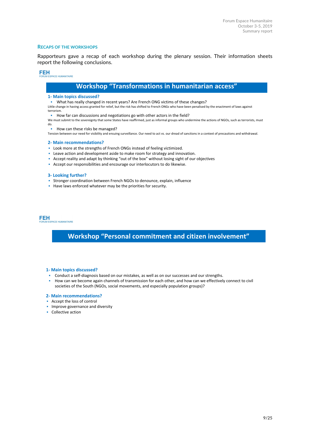#### **RECAPS OF THE WORKSHOPS**

Rapporteurs gave a recap of each workshop during the plenary session. Their information sheets report the following conclusions.

## **FEH**<br>FORUM ESPACE HUMANITAIRE Workshop "Transformations in humanitarian access" 1- Main topics discussed? ▪ What has really changed in recent years? Are French ONG victims of these changes?

Little change in having access granted for relief, but the risk has shifted to French ONGs who have been penalised by the enactment of laws against terrorism.

▪ How far can discussions and negotiations go with other actors in the field?

We must submit to the sovereignty that some States have reaffirmed, just as informal groups who undermine the actions of NGOs, such as terrorists, must do.

▪ How can these risks be managed?

Tension between our need for visibility and ensuing surveillance. Our need to act vs. our dread of sanctions in a context of precautions and withdrawal.

#### 2- Main recommendations?

- **EXECT** Look more at the strengths of French ONGs instead of feeling victimized.
- **EXECTED 2018** Leave action and development aside to make room for strategy and innovation.
- Accept reality and adapt by thinking "out of the box" without losing sight of our objectives
- Accept our responsibilities and encourage our interlocutors to do likewise.

#### 3- Looking further?

- **EXECTS 15 Stronger coordination between French NGOs to denounce, explain, influence**
- Have laws enforced whatever may be the priorities for security.

FEH I<br>:SPACE HUMANITAIRE

### Workshop "Personal commitment and citizen involvement"

#### 1- Main topics discussed?

- Conduct a self-diagnosis based on our mistakes, as well as on our successes and our strengths.
- How can we become again channels of transmission for each other, and how can we effectively connect to civil societies of the South (NGOs, social movements, and especially population groups)?

#### 2- Main recommendations?

- Accept the loss of control
- **·** Improve governance and diversity
- Collective action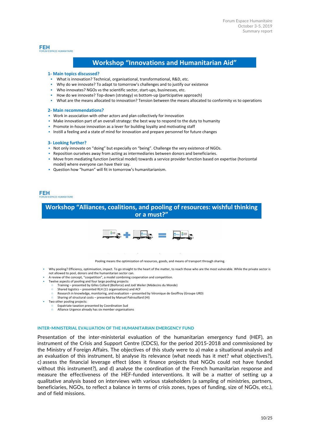#### **FEH PACE HUMANITAIRE**

#### Workshop "Innovations and Humanitarian Aid"

#### 1- Main topics discussed?

- What is innovation? Technical, organisational, transformational, R&D, etc.
- Why do we innovate? To adapt to tomorrow's challenges and to justify our existence
- Who innovates? NGOs vs the scientific sector, start-ups, businesses, etc.
- How do we innovate? Top-down (strategy) vs bottom-up (participative approach)
- What are the means allocated to innovation? Tension between the means allocated to conformity vs to operations

#### 2- Main recommendations?

- **Work in association with other actors and plan collectively for innovation**
- **Make innovation part of an overall strategy: the best way to respond to the duty to humanity**
- **•** Promote in-house innovation as a lever for building loyalty and motivating staff
- Instill a feeling and a state of mind for innovation and prepare personnel for future changes

#### 3- Looking further?

- Not only innovate on "doing" but especially on "being". Challenge the very existence of NGOs.
- Reposition ourselves away from acting as intermediaries between donors and beneficiaries.
- Move from mediating function (vertical model) towards a service provider function based on expertise (horizontal model) where everyone can have their say.
- Question how "human" will fit in tomorrow's humanitarianism.

#### **FEH**

**PACE HUMANITAIRE** 

#### Workshop "Alliances, coalitions, and pooling of resources: wishful thinking or a must?"



Pooling means the optimization of resources, goods, and means of transport through sharing.

- Why pooling? Efficiency, optimisation, impact. To go straight to the heart of the matter, to reach those who are the most vulnerable. While the private sector is
- not allowed to pool, donors and the humanitarian sector can. A review of the concept, "coopetition", a model combining cooperation and competition.
- Twelve aspects of pooling and four large pooling projects:
	- Training presented by Gilles Collard (Bioforce) and Joël Weiler (Médecins du Monde)
	- Shared logistics presented RLH (11 organisations) and ACF
		- Research in knowledge, monitoring, and evaluation presented by Véronique de Geoffroy (Groupe URD)
	- Sharing of structural costs presented by Manuel Patrouillard (HI)
- Two other pooling projects:
	- Expatriate taxation presented by Coordination Sud
	- Alliance Urgence already has six member organisations

#### **INTER-MINISTERIAL EVALUATION OF THE HUMANITARIAN EMERGENCY FUND**

Presentation of the inter-ministerial evaluation of the humanitarian emergency fund (HEF), an instrument of the Crisis and Support Centre (CDCS), for the period 2015-2018 and commissioned by the Ministry of Foreign Affairs. The objectives of this study were to a) make a situational analysis and an evaluation of this instrument, b) analyse its relevance (what needs has it met? what objectives?), c) assess the financial leverage effect (does it finance projects that NGOs could not have funded without this instrument?), and d) analyse the coordination of the French humanitarian response and measure the effectiveness of the HEF-funded interventions. It will be a matter of setting up a qualitative analysis based on interviews with various stakeholders (a sampling of ministries, partners, beneficiaries, NGOs, to reflect a balance in terms of crisis zones, types of funding, size of NGOs, etc.), and of field missions.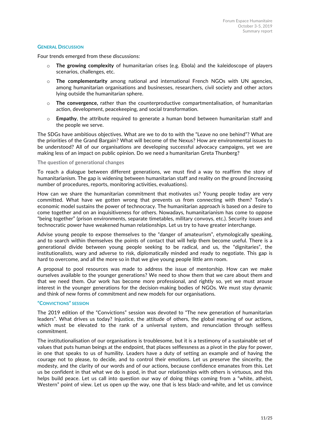#### **GENERAL DISCUSSION**

Four trends emerged from these discussions:

- The growing complexity of humanitarian crises (e.g. Ebola) and the kaleidoscope of players scenarios, challenges, etc.
- o **The complementarity** among national and international French NGOs with UN agencies, among humanitarian organisations and businesses, researchers, civil society and other actors lying outside the humanitarian sphere.
- o **The convergence,** rather than the counterproductive compartmentalisation, of humanitarian action, development, peacekeeping, and social transformation.
- o **Empathy**, the attribute required to generate a human bond between humanitarian staff and the people we serve.

The SDGs have ambitious objectives. What are we to do to with the "Leave no one behind"? What are the priorities of the Grand Bargain? What will become of the Nexus? How are environmental issues to be understood? All of our organisations are developing successful advocacy campaigns, yet we are making less of an impact on public opinion. Do we need a humanitarian Greta Thunberg?

#### **The question of generational changes**

To reach a dialogue between different generations, we must find a way to reaffirm the story of humanitarianism. The gap is widening between humanitarian staff and reality on the ground (increasing number of procedures, reports, monitoring activities, evaluations).

How can we share the humanitarian commitment that motivates us? Young people today are very committed. What have we gotten wrong that prevents us from connecting with them? Today's economic model sustains the power of technocracy. The humanitarian approach is based on a desire to come together and on an inquisitiveness for others. Nowadays, humanitarianism has come to oppose "being together" (prison environments, separate timetables, military convoys, etc.). Security issues and technocratic power have weakened human relationships. Let us try to have greater interchange.

Advise young people to expose themselves to the "danger of amateurism", etymologically speaking, and to search within themselves the points of contact that will help them become useful. There is a generational divide between young people seeking to be radical, and us, the "dignitaries", the institutionalists, wary and adverse to risk, diplomatically minded and ready to negotiate. This gap is hard to overcome, and all the more so in that we give young people little arm room.

A proposal to pool resources was made to address the issue of mentorship. How can we make ourselves available to the younger generations? We need to show them that we care about them and that we need them. Our work has become more professional, and rightly so, yet we must arouse interest in the younger generations for the decision-making bodies of NGOs. We must stay dynamic and think of new forms of commitment and new models for our organisations.

#### **"CONVICTIONS" SESSION**

The 2019 edition of the "Convictions" session was devoted to "The new generation of humanitarian leaders". What drives us today? Injustice, the attitude of others, the global meaning of our actions, which must be elevated to the rank of a universal system, and renunciation through selfless commitment.

The institutionalisation of our organisations is troublesome, but it is a testimony of a sustainable set of values that puts human beings at the endpoint, that places selflessness as a pivot in the play for power, in one that speaks to us of humility. Leaders have a duty of setting an example and of having the courage not to please, to decide, and to control their emotions. Let us preserve the sincerity, the modesty, and the clarity of our words and of our actions, because confidence emanates from this. Let us be confident in that what we do is good, in that our relationships with others is virtuous, and this helps build peace. Let us call into question our way of doing things coming from a "white, atheist, Western" point of view. Let us open up the way, one that is less black-and-white, and let us convince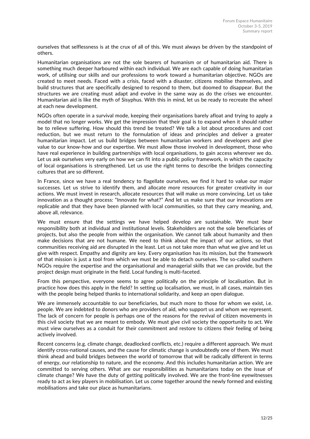ourselves that selflessness is at the crux of all of this. We must always be driven by the standpoint of others.

Humanitarian organisations are not the sole bearers of humanism or of humanitarian aid. There is something much deeper harboured within each individual. We are each capable of doing humanitarian work, of utilising our skills and our professions to work toward a humanitarian objective. NGOs are created to meet needs. Faced with a crisis, faced with a disaster, citizens mobilise themselves, and build structures that are specifically designed to respond to them, but doomed to disappear. But the structures we are creating must adapt and evolve in the same way as do the crises we encounter. Humanitarian aid is like the myth of Sisyphus. With this in mind, let us be ready to recreate the wheel at each new development.

NGOs often operate in a survival mode, keeping their organisations barely afloat and trying to apply a model that no longer works. We get the impression that their goal is to expand when it should rather be to relieve suffering. How should this trend be treated? We talk a lot about procedures and cost reduction, but we must return to the formulation of ideas and principles and deliver a greater humanitarian impact. Let us build bridges between humanitarian workers and developers and give value to our know-how and our expertise. We must allow those involved in development, those who have real experience in building partnerships with local organisations, to gain access wherever we do. Let us ask ourselves very early on how we can fit into a public policy framework, in which the capacity of local organisations is strengthened. Let us use the right terms to describe the bridges connecting cultures that are so different.

In France, since we have a real tendency to flagellate ourselves, we find it hard to value our major successes. Let us strive to identify them, and allocate more resources for greater creativity in our actions. We must invest in research, allocate resources that will make us more convincing. Let us take innovation as a thought process: "Innovate for what?" And let us make sure that our innovations are replicable and that they have been planned with local communities, so that they carry meaning, and, above all, relevance.

We must ensure that the settings we have helped develop are sustainable. We must bear responsibility both at individual and institutional levels. Stakeholders are not the sole beneficiaries of projects, but also the people from within the organisation. We cannot talk about humanity and then make decisions that are not humane. We need to think about the impact of our actions, so that communities receiving aid are disrupted in the least. Let us not take more than what we give and let us give with respect. Empathy and dignity are key. Every organisation has its mission, but the framework of that mission is just a tool from which we must be able to detach ourselves. The so-called southern NGOs require the expertise and the organisational and managerial skills that we can provide, but the project design must originate in the field. Local funding is multi-faceted.

From this perspective, everyone seems to agree politically on the principle of localisation. But in practice how does this apply in the field? In setting up localisation, we must, in all cases, maintain ties with the people being helped thanks to international solidarity, and keep an open dialogue.

We are immensely accountable to our beneficiaries, but much more to those for whom we exist, i.e. people. We are indebted to donors who are providers of aid, who support us and whom we represent. The lack of concern for people is perhaps one of the reasons for the revival of citizen movements in this civil society that we are meant to embody. We must give civil society the opportunity to act. We must view ourselves as a conduit for their commitment and restore to citizens their feeling of being actively involved.

Recent concerns (e.g. climate change, deadlocked conflicts, etc.) require a different approach. We must identify cross-national causes, and the cause for climatic change is undoubtedly one of them. We must think ahead and build bridges between the world of tomorrow that will be radically different in terms of energy, our relationship to nature, and the economy. And this includes humanitarian action. We are committed to serving others. What are our responsibilities as humanitarians today on the issue of climate change? We have the duty of getting politically involved. We are the front-line eyewitnesses ready to act as key players in mobilisation. Let us come together around the newly formed and existing mobilisations and take our place as humanitarians.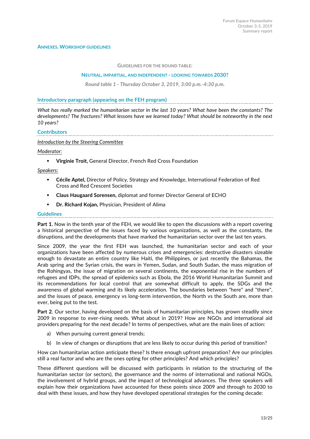#### **GUIDELINES FOR THE ROUND TABLE:**

#### **NEUTRAL, IMPARTIAL, AND INDEPENDENT - LOOKING TOWARDS 2030?**

*Round table 1 - Thursday October 3, 2019, 3:00 p.m.-4:30 p.m.*

#### **Introductory paragraph (appearing on the FEH program)**

*What has really marked the humanitarian sector in the last 10 years? What have been the constants? The developments? The fractures? What lessons have we learned today? What should be noteworthy in the next 10 years?*

### **Contributors**

#### *Introduction by the Steering Committee*

#### *Moderator:*

! **Virginie Troit,** General Director, French Red Cross Foundation

#### *Speakers:*

- ! **Cécile Aptel,** Director of Policy, Strategy and Knowledge, International Federation of Red Cross and Red Crescent Societies
- ! **Claus Haugaard Sorensen,** diplomat and former Director General of ECHO
- ! **Dr. Richard Kojan,** Physician, President of Alima

#### **Guidelines**

**Part 1.** Now in the tenth year of the FEH, we would like to open the discussions with a report covering a historical perspective of the issues faced by various organizations, as well as the constants, the disruptions, and the developments that have marked the humanitarian sector over the last ten years.

Since 2009, the year the first FEH was launched, the humanitarian sector and each of your organizations have been affected by numerous crises and emergencies: destructive disasters sizeable enough to devastate an entire country like Haiti, the Philippines, or just recently the Bahamas, the Arab spring and the Syrian crisis, the wars in Yemen, Sudan, and South Sudan, the mass migration of the Rohingyas, the issue of migration on several continents, the exponential rise in the numbers of refugees and IDPs, the spread of epidemics such as Ebola, the 2016 World Humanitarian Summit and its recommendations for local control that are somewhat difficult to apply, the SDGs and the awareness of global warming and its likely acceleration. The boundaries between "here" and "there", and the issues of peace, emergency vs long-term intervention, the North vs the South are, more than ever, being put to the test.

**Part 2**. Our sector, having developed on the basis of humanitarian principles, has grown steadily since 2009 in response to ever-rising needs. What about in 2019? How are NGOs and international aid providers preparing for the next decade? In terms of perspectives, what are the main lines of action:

- a) When pursuing current general trends;
- b) In view of changes or disruptions that are less likely to occur during this period of transition?

How can humanitarian action anticipate these? Is there enough upfront preparation? Are our principles still a real factor and who are the ones opting for other principles? And which principles?

These different questions will be discussed with participants in relation to the structuring of the humanitarian sector (or sectors), the governance and the norms of international and national NGOs, the involvement of hybrid groups, and the impact of technological advances. The three speakers will explain how their organizations have accounted for these points since 2009 and through to 2030 to deal with these issues, and how they have developed operational strategies for the coming decade: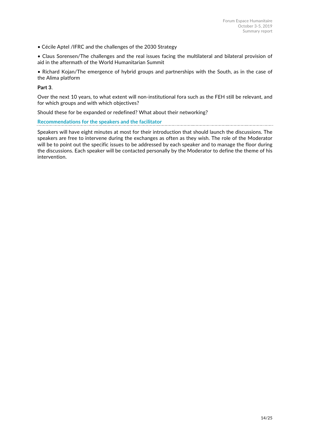• Cécile Aptel /IFRC and the challenges of the 2030 Strategy

• Claus Sorensen/The challenges and the real issues facing the multilateral and bilateral provision of aid in the aftermath of the World Humanitarian Summit

• Richard Kojan/The emergence of hybrid groups and partnerships with the South, as in the case of the Alima platform

#### **Part 3**.

Over the next 10 years, to what extent will non-institutional fora such as the FEH still be relevant, and for which groups and with which objectives?

Should these for be expanded or redefined? What about their networking?

### **Recommendations for the speakers and the facilitator**

Speakers will have eight minutes at most for their introduction that should launch the discussions. The speakers are free to intervene during the exchanges as often as they wish. The role of the Moderator will be to point out the specific issues to be addressed by each speaker and to manage the floor during the discussions. Each speaker will be contacted personally by the Moderator to define the theme of his intervention.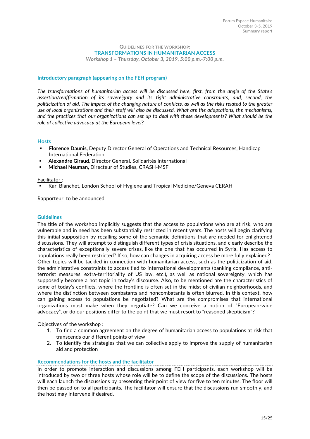#### **GUIDELINES FOR THE WORKSHOP: TRANSFORMATIONS IN HUMANITARIAN ACCESS**

*Workshop 1 – Thursday, October 3, 2019, 5:00 p.m.-7:00 p.m.*

#### **Introductory paragraph (appearing on the FEH program)**

*The transformations of humanitarian access will be discussed here, first, from the angle of the State's assertion/reaffirmation of its sovereignty and its tight administrative constraints, and, second, the politicization of aid. The impact of the changing nature of conflicts, as well as the risks related to the greater use of local organizations and their staff will also be discussed. What are the adaptations, the mechanisms, and the practices that our organizations can set up to deal with these developments? What should be the role of collective advocacy at the European level?*

#### **Hosts**

- ! **Florence Daunis,** Deputy Director General of Operations and Technical Resources, Handicap International Federation
- ! **Alexandre Giraud**, Director General, Solidarités International
- ! **Michael Neuman,** Directeur of Studies, CRASH-MSF

#### Facilitator :

! Karl Blanchet, London School of Hygiene and Tropical Medicine/Geneva CERAH

Rapporteur: to be announced

#### **Guidelines**

The title of the workshop implicitly suggests that the access to populations who are at risk, who are vulnerable and in need has been substantially restricted in recent years. The hosts will begin clarifying this initial supposition by recalling some of the semantic definitions that are needed for enlightened discussions. They will attempt to distinguish different types of crisis situations, and clearly describe the characteristics of exceptionally severe crises, like the one that has occurred in Syria. Has access to populations really been restricted? If so, how can changes in acquiring access be more fully explained? Other topics will be tackled in connection with humanitarian access, such as the politicization of aid, the administrative constraints to access tied to international developments (banking compliance, antiterrorist measures, extra-territoriality of US law, etc.), as well as national sovereignty, which has supposedly become a hot topic in today's discourse. Also, to be mentioned are the characteristics of some of today's conflicts, where the frontline is often set in the midst of civilian neighborhoods, and where the distinction between combatants and noncombatants is often blurred. In this context, how can gaining access to populations be negotiated? What are the compromises that international organizations must make when they negotiate? Can we conceive a notion of "European-wide advocacy", or do our positions differ to the point that we must resort to "reasoned skepticism"?

#### Objectives of the workshop :

- 1. To find a common agreement on the degree of humanitarian access to populations at risk that transcends our different points of view
- 2. To identify the strategies that we can collective apply to improve the supply of humanitarian aid and protection

#### **Recommendations for the hosts and the facilitator**

In order to promote interaction and discussions among FEH participants, each workshop will be introduced by two or three hosts whose role will be to define the scope of the discussions. The hosts will each launch the discussions by presenting their point of view for five to ten minutes. The floor will then be passed on to all participants. The facilitator will ensure that the discussions run smoothly, and the host may intervene if desired.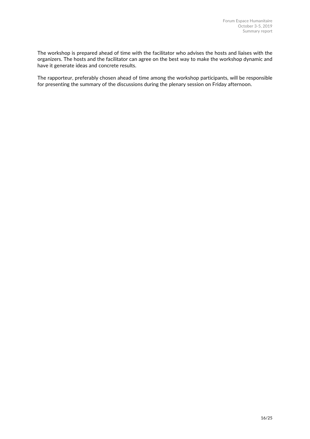The workshop is prepared ahead of time with the facilitator who advises the hosts and liaises with the organizers. The hosts and the facilitator can agree on the best way to make the workshop dynamic and have it generate ideas and concrete results.

The rapporteur, preferably chosen ahead of time among the workshop participants, will be responsible for presenting the summary of the discussions during the plenary session on Friday afternoon.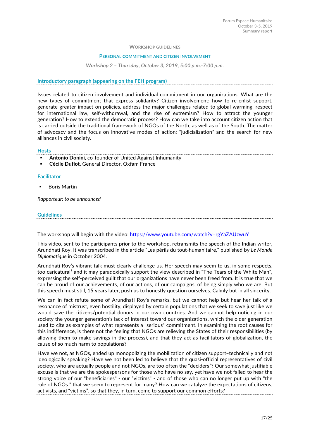#### **WORKSHOP GUIDELINES**

#### **PERSONAL COMMITMENT AND CITIZEN INVOLVEMENT**

#### *Workshop 2 – Thursday, October 3, 2019, 5:00 p.m.-7:00 p.m.*

#### **Introductory paragraph (appearing on the FEH program)**

Issues related to citizen involvement and individual commitment in our organizations. What are the new types of commitment that express solidarity? Citizen involvement: how to re-enlist support, generate greater impact on policies, address the major challenges related to global warming, respect for international law, self-withdrawal, and the rise of extremism? How to attract the younger generation? How to extend the democratic process? How can we take into account citizen action that is carried outside the traditional framework of NGOs of the North, as well as of the South. The matter of advocacy and the focus on innovative modes of action: "judicialization" and the search for new alliances in civil society.

#### **Hosts**

- ! **Antonio Donini,** co-founder of United Against Inhumanity
- ! **Cécile Duflot**, General Director, Oxfam France

#### **Facilitator**

! Boris Martin

*Rapporteur: to be announced*

### **Guidelines**

The workshop will begin with the video: https://www.youtube.com/watch?v=rgYaZAUzwuY

This video, sent to the participants prior to the workshop, retransmits the speech of the Indian writer, Arundhati Roy. It was transcribed in the article "Les périls du tout-humanitaire," published by *Le Monde Diplomatique* in October 2004.

Arundhati Roy's vibrant talk must clearly challenge us. Her speech may seem to us, in some respects, too caricatural² and it may paradoxically support the view described in "The Tears of the White Man", expressing the self-perceived guilt that our organizations have never been freed from. It is true that we can be proud of our achievements, of our actions, of our campaigns, of being simply who we are. But this speech must still, 15 years later, push us to honestly question ourselves. Calmly but in all sincerity.

We can in fact refute some of Arundhati Roy's remarks, but we cannot help but hear her talk of a resonance of mistrust, even hostility, displayed by certain populations that we seek to save just like we would save the citizens/potential donors in our own countries. And we cannot help noticing in our society the younger generation's lack of interest toward our organizations, which the older generation used to cite as examples of what represents a "serious" commitment. In examining the root causes for this indifference, is there not the feeling that NGOs are relieving the States of their responsibilities (by allowing them to make savings in the process), and that they act as facilitators of globalization, the cause of so much harm to populations?

Have we not, as NGOs, ended up monopolizing the mobilization of citizen support-technically and not ideologically speaking? Have we not been led to believe that the quasi-official representatives of civil society, who are actually people and not NGOs, are too often the "deciders"? Our somewhat justifiable excuse is that we are the spokespersons for those who have no say, yet have we not failed to hear the strong voice of our "beneficiaries" - our "victims" - and of those who can no longer put up with "the rule of NGOs " that we seem to represent for many? How can we catalyze the expectations of citizens, activists, and "victims", so that they, in turn, come to support our common efforts?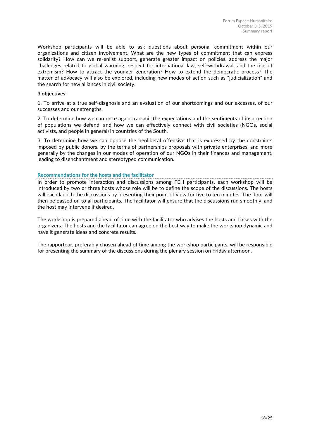Workshop participants will be able to ask questions about personal commitment within our organizations and citizen involvement. What are the new types of commitment that can express solidarity? How can we re-enlist support, generate greater impact on policies, address the major challenges related to global warming, respect for international law, self-withdrawal, and the rise of extremism? How to attract the younger generation? How to extend the democratic process? The matter of advocacy will also be explored, including new modes of action such as "judicialization" and the search for new alliances in civil society.

#### **3 objectives:**

1. To arrive at a true self-diagnosis and an evaluation of our shortcomings and our excesses, of our successes and our strengths,

2. To determine how we can once again transmit the expectations and the sentiments of insurrection of populations we defend, and how we can effectively connect with civil societies (NGOs, social activists, and people in general) in countries of the South,

3. To determine how we can oppose the neoliberal offensive that is expressed by the constraints imposed by public donors, by the terms of partnerships proposals with private enterprises, and more generally by the changes in our modes of operation of our NGOs in their finances and management, leading to disenchantment and stereotyped communication.

### **Recommendations for the hosts and the facilitator**

In order to promote interaction and discussions among FEH participants, each workshop will be introduced by two or three hosts whose role will be to define the scope of the discussions. The hosts will each launch the discussions by presenting their point of view for five to ten minutes. The floor will then be passed on to all participants. The facilitator will ensure that the discussions run smoothly, and the host may intervene if desired.

The workshop is prepared ahead of time with the facilitator who advises the hosts and liaises with the organizers. The hosts and the facilitator can agree on the best way to make the workshop dynamic and have it generate ideas and concrete results.

The rapporteur, preferably chosen ahead of time among the workshop participants, will be responsible for presenting the summary of the discussions during the plenary session on Friday afternoon.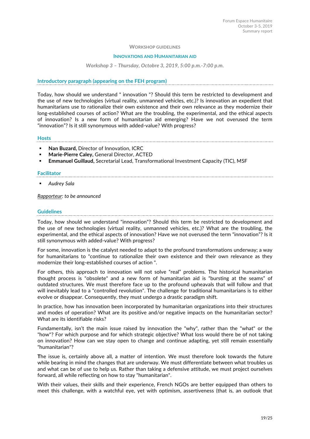#### **WORKSHOP GUIDELINES**

#### **INNOVATIONS AND HUMANITARIAN AID**

#### *Workshop 3 – Thursday, Octobre 3, 2019, 5:00 p.m.-7:00 p.m.*

#### **Introductory paragraph (appearing on the FEH program)**

Today, how should we understand " innovation "? Should this term be restricted to development and the use of new technologies (virtual reality, unmanned vehicles, etc.)? Is innovation an expedient that humanitarians use to rationalize their own existence and their own relevance as they modernize their long-established courses of action? What are the troubling, the experimental, and the ethical aspects of innovation? Is a new form of humanitarian aid emerging? Have we not overused the term "innovation"? Is it still synonymous with added-value? With progress?

#### **Hosts**

- ! **Nan Buzard,** Director of Innovation, ICRC
- ! **Marie-Pierre Caley,** General Director, ACTED

still synonymous with added-value? With progress?

! **Emmanuel Guillaud,** Secretarial Lead, Transformational Investment Capacity (TIC), MSF

#### **Facilitator**

! *Audrey Sala*

*Rapporteur: to be announced*

#### **Guidelines**

Today, how should we understand "innovation"? Should this term be restricted to development and the use of new technologies (virtual reality, unmanned vehicles, etc.)? What are the troubling, the experimental, and the ethical aspects of innovation? Have we not overused the term "innovation"? Is it

For some, innovation is the catalyst needed to adapt to the profound transformations underway; a way for humanitarians to "continue to rationalize their own existence and their own relevance as they modernize their long-established courses of action ".

For others, this approach to innovation will not solve "real" problems. The historical humanitarian thought process is "obsolete" and a new form of humanitarian aid is "bursting at the seams" of outdated structures. We must therefore face up to the profound upheavals that will follow and that will inevitably lead to a "controlled revolution". The challenge for traditional humanitarians is to either evolve or disappear. Consequently, they must undergo a drastic paradigm shift.

In practice, how has innovation been incorporated by humanitarian organizations into their structures and modes of operation? What are its positive and/or negative impacts on the humanitarian sector? What are its identifiable risks?

Fundamentally, isn't the main issue raised by innovation the "why", rather than the "what" or the "how"? For which purpose and for which strategic objective? What loss would there be of not taking on innovation? How can we stay open to change and continue adapting, yet still remain essentially "humanitarian"?

**T**he issue is, certainly above all, a matter of intention. We must therefore look towards the future while bearing in mind the changes that are underway. We must differentiate between what troubles us and what can be of use to help us. Rather than taking a defensive attitude, we must project ourselves forward, all while reflecting on how to stay "humanitarian".

With their values, their skills and their experience, French NGOs are better equipped than others to meet this challenge, with a watchful eye, yet with optimism, assertiveness (that is, an outlook that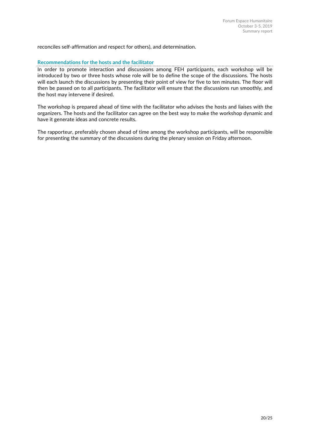reconciles self-affirmation and respect for others), and determination.

### **Recommendations for the hosts and the facilitator**

In order to promote interaction and discussions among FEH participants, each workshop will be introduced by two or three hosts whose role will be to define the scope of the discussions. The hosts will each launch the discussions by presenting their point of view for five to ten minutes. The floor will then be passed on to all participants. The facilitator will ensure that the discussions run smoothly, and the host may intervene if desired.

The workshop is prepared ahead of time with the facilitator who advises the hosts and liaises with the organizers. The hosts and the facilitator can agree on the best way to make the workshop dynamic and have it generate ideas and concrete results.

The rapporteur, preferably chosen ahead of time among the workshop participants, will be responsible for presenting the summary of the discussions during the plenary session on Friday afternoon.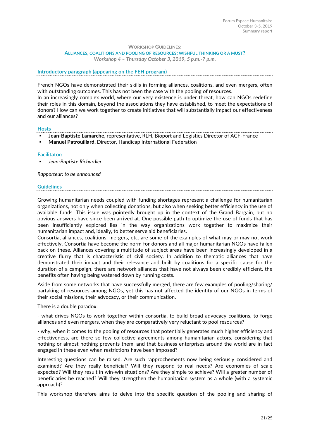#### **WORKSHOP GUIDELINES:**

#### **ALLIANCES, COALITIONS AND POOLING OF RESOURCES: WISHFUL THINKING OR A MUST?**

*Workshop 4 – Thursday October 3, 2019, 5 p.m.-7 p.m.*

#### **Introductory paragraph (appearing on the FEH program)**

French NGOs have demonstrated their skills in forming alliances, coalitions, and even mergers, often with outstanding outcomes. This has not been the case with the pooling of resources.

In an increasingly complex world, where our very existence is under threat, how can NGOs redefine their roles in this domain, beyond the associations they have established, to meet the expectations of donors? How can we work together to create initiatives that will substantially impact our effectiveness and our alliances?

#### **Hosts**

! **Jean-Baptiste Lamarche,** representative, RLH, Bioport and Logistics Director of ACF-France

! **Manuel Patrouillard,** Director, Handicap International Federation

### **Facilitator:**

! *Jean-Baptiste Richardier*

#### *Rapporteur: to be announced*

#### **Guidelines**

Growing humanitarian needs coupled with funding shortages represent a challenge for humanitarian organizations, not only when collecting donations, but also when seeking better efficiency in the use of available funds. This issue was pointedly brought up in the context of the Grand Bargain, but no obvious answers have since been arrived at. One possible path to optimize the use of funds that has been insufficiently explored lies in the way organizations work together to maximize their humanitarian impact and, ideally, to better serve aid beneficiaries.

Consortia, alliances, coalitions, mergers, etc. are some of the examples of what may or may not work effectively. Consortia have become the norm for donors and all major humanitarian NGOs have fallen back on these. Alliances covering a multitude of subject areas have been increasingly developed in a creative flurry that is characteristic of civil society. In addition to thematic alliances that have demonstrated their impact and their relevance and built by coalitions for a specific cause for the duration of a campaign, there are network alliances that have not always been credibly efficient, the benefits often having being watered down by running costs.

Aside from some networks that have successfully merged, there are few examples of pooling/sharing/ partaking of resources among NGOs, yet this has not affected the identity of our NGOs in terms of their social missions, their advocacy, or their communication.

There is a double paradox:

- what drives NGOs to work together within consortia, to build broad advocacy coalitions, to forge alliances and even mergers, when they are comparatively very reluctant to pool resources?

- why, when it comes to the pooling of resources that potentially generates much higher efficiency and effectiveness, are there so few collective agreements among humanitarian actors, considering that nothing or almost nothing prevents them, and that business enterprises around the world are in fact engaged in these even when restrictions have been imposed?

Interesting questions can be raised. Are such rapprochements now being seriously considered and examined? Are they really beneficial? Will they respond to real needs? Are economies of scale expected? Will they result in win-win situations? Are they simple to achieve? Will a greater number of beneficiaries be reached? Will they strengthen the humanitarian system as a whole (with a systemic approach)?

This workshop therefore aims to delve into the specific question of the pooling and sharing of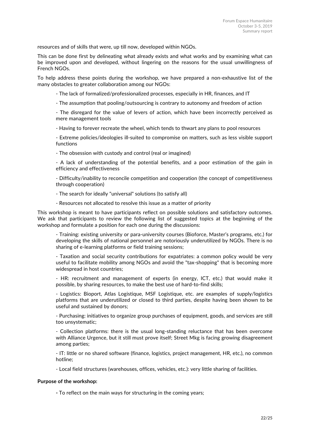resources and of skills that were, up till now, developed within NGOs.

This can be done first by delineating what already exists and what works and by examining what can be improved upon and developed, without lingering on the reasons for the usual unwillingness of French NGOs.

To help address these points during the workshop, we have prepared a non-exhaustive list of the many obstacles to greater collaboration among our NGOs:

- The lack of formalized/professionalized processes, especially in HR, finances, and IT

- The assumption that pooling/outsourcing is contrary to autonomy and freedom of action

- The disregard for the value of levers of action, which have been incorrectly perceived as mere management tools

- Having to forever recreate the wheel, which tends to thwart any plans to pool resources

- Extreme policies/ideologies ill-suited to compromise on matters, such as less visible support functions

- The obsession with custody and control (real or imagined)

- A lack of understanding of the potential benefits, and a poor estimation of the gain in efficiency and effectiveness

- Difficulty/inability to reconcile competition and cooperation (the concept of competitiveness through cooperation)

- The search for ideally "universal" solutions (to satisfy all)

- Resources not allocated to resolve this issue as a matter of priority

This workshop is meant to have participants reflect on possible solutions and satisfactory outcomes. We ask that participants to review the following list of suggested topics at the beginning of the workshop and formulate a position for each one during the discussions:

- Training: existing university or para-university courses (Bioforce, Master's programs, etc.) for developing the skills of national personnel are notoriously underutilized by NGOs. There is no sharing of e-learning platforms or field training sessions;

- Taxation and social security contributions for expatriates: a common policy would be very useful to facilitate mobility among NGOs and avoid the "tax-shopping" that is becoming more widespread in host countries;

- HR: recruitment and management of experts (in energy, ICT, etc.) that would make it possible, by sharing resources, to make the best use of hard-to-find skills;

- Logistics: Bioport, Atlas Logistique, MSF Logistique, etc. are examples of supply/logistics platforms that are underutilized or closed to third parties, despite having been shown to be useful and sustained by donors;

- Purchasing: initiatives to organize group purchases of equipment, goods, and services are still too unsystematic;

- Collection platforms: there is the usual long-standing reluctance that has been overcome with Alliance Urgence, but it still must prove itself; Street Mkg is facing growing disagreement among parties;

- IT: little or no shared software (finance, logistics, project management, HR, etc.), no common hotline;

- Local field structures (warehouses, offices, vehicles, etc.): very little sharing of facilities.

#### **Purpose of the workshop:**

**-** To reflect on the main ways for structuring in the coming years;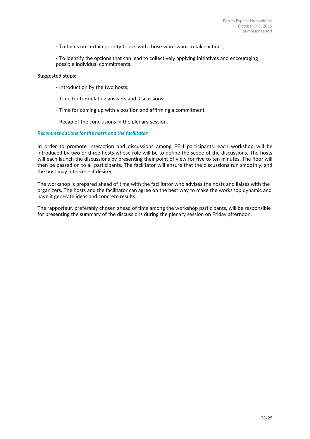- To focus on certain priority topics with those who "want to take action";

- To identify the options that can lead to collectively applying initiatives and encouraging possible individual commitments.

#### **Suggested steps**:

- Introduction by the two hosts;
- Time for formulating answers and discussions;
- Time for coming up with a position and affirming a commitment
- Recap of the conclusions in the plenary session.

### *Recommendations for the hosts and the facilitator*

In order to promote interaction and discussions among FEH participants, each workshop will be introduced by two or three hosts whose role will be to define the scope of the discussions. The hosts will each launch the discussions by presenting their point of view for five to ten minutes. The floor will then be passed on to all participants. The facilitator will ensure that the discussions run smoothly, and the host may intervene if desired.

The workshop is prepared ahead of time with the facilitator who advises the hosts and liaises with the organizers. The hosts and the facilitator can agree on the best way to make the workshop dynamic and have it generate ideas and concrete results.

The rapporteur, preferably chosen ahead of time among the workshop participants, will be responsible for presenting the summary of the discussions during the plenary session on Friday afternoon.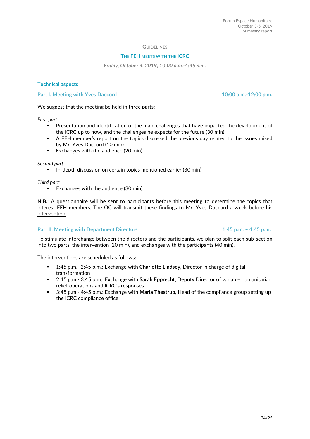#### **GUIDELINES**

#### **THE FEH MEETS WITH THE ICRC**

*Friday, October 4, 2019, 10:00 a.m.-4:45 p.m.*

#### **Technical aspects**

**Part I. Meeting with Yves Daccord 10:00 a.m.-12:00 p.m.**

We suggest that the meeting be held in three parts:

*First part:*

- Presentation and identification of the main challenges that have impacted the development of the ICRC up to now, and the challenges he expects for the future (30 min)
- A FEH member's report on the topics discussed the previous day related to the issues raised by Mr. Yves Daccord (10 min)
- Exchanges with the audience (20 min)

*Second part:*

• In-depth discussion on certain topics mentioned earlier (30 min)

*Third part:*

• Exchanges with the audience (30 min)

**N.B.:** A questionnaire will be sent to participants before this meeting to determine the topics that interest FEH members. The OC will transmit these findings to Mr. Yves Daccord a week before his intervention.

#### **Part II. Meeting with Department Directors 1:45 p.m. – 4:45 p.m. – 4:45 p.m.**

To stimulate interchange between the directors and the participants, we plan to split each sub-section into two parts: the intervention (20 min), and exchanges with the participants (40 min).

The interventions are scheduled as follows:

- ! 1:45 p.m.- 2:45 p.m.: Exchange with **Charlotte Lindsey**, Director in charge of digital transformation
- ! 2:45 p.m.- 3:45 p.m.: Exchange with **Sarah Epprecht**, Deputy Director of variable humanitarian relief operations and ICRC's responses
- ! 3:45 p.m.- 4:45 p.m.: Exchange with **Maria Thestrup**, Head of the compliance group setting up the ICRC compliance office